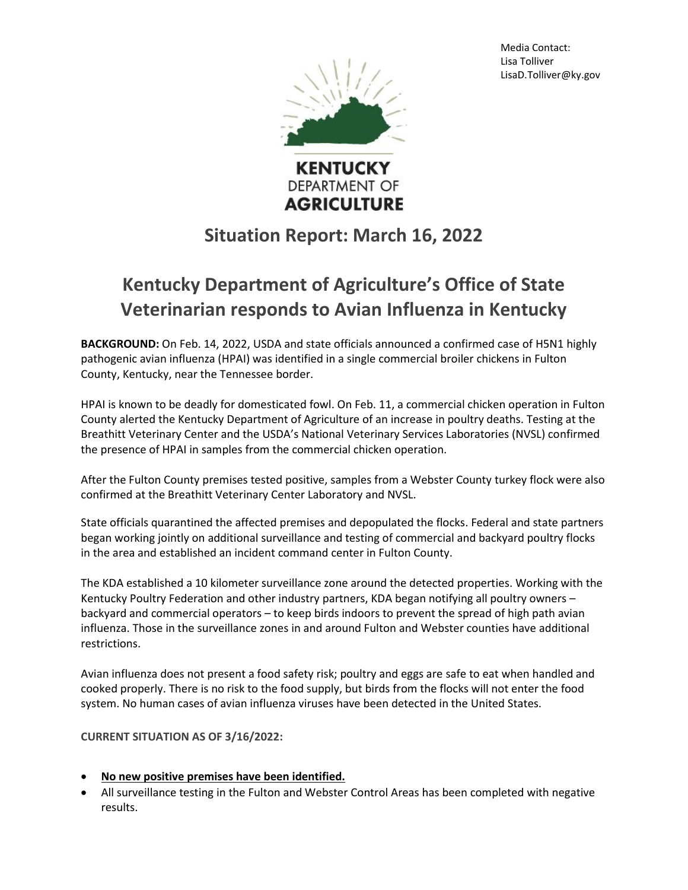Media Contact: Lisa Tolliver LisaD.Tolliver@ky.gov



**DEPARTMENT OF AGRICULTURE** 

## **Situation Report: March 16, 2022**

## **Kentucky Department of Agriculture's Office of State Veterinarian responds to Avian Influenza in Kentucky**

**BACKGROUND:** On Feb. 14, 2022, USDA and state officials announced a confirmed case of H5N1 highly pathogenic avian influenza (HPAI) was identified in a single commercial broiler chickens in Fulton County, Kentucky, near the Tennessee border.

HPAI is known to be deadly for domesticated fowl. On Feb. 11, a commercial chicken operation in Fulton County alerted the Kentucky Department of Agriculture of an increase in poultry deaths. Testing at the Breathitt Veterinary Center and the USDA's National Veterinary Services Laboratories (NVSL) confirmed the presence of HPAI in samples from the commercial chicken operation.

After the Fulton County premises tested positive, samples from a Webster County turkey flock were also confirmed at the Breathitt Veterinary Center Laboratory and NVSL.

State officials quarantined the affected premises and depopulated the flocks. Federal and state partners began working jointly on additional surveillance and testing of commercial and backyard poultry flocks in the area and established an incident command center in Fulton County.

The KDA established a 10 kilometer surveillance zone around the detected properties. Working with the Kentucky Poultry Federation and other industry partners, KDA began notifying all poultry owners backyard and commercial operators – to keep birds indoors to prevent the spread of high path avian influenza. Those in the surveillance zones in and around Fulton and Webster counties have additional restrictions.

Avian influenza does not present a food safety risk; poultry and eggs are safe to eat when handled and cooked properly. There is no risk to the food supply, but birds from the flocks will not enter the food system. No human cases of avian influenza viruses have been detected in the United States.

**CURRENT SITUATION AS OF 3/16/2022:**

- **No new positive premises have been identified.**
- All surveillance testing in the Fulton and Webster Control Areas has been completed with negative results.